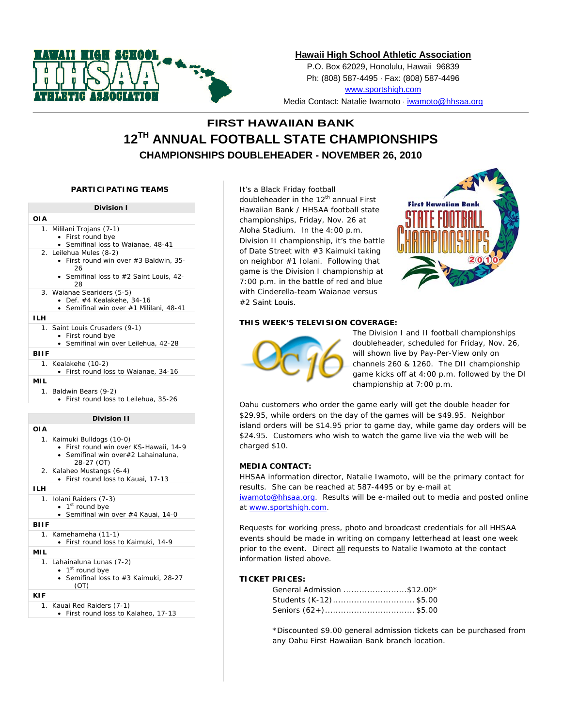

## **Hawaii High School Athletic Association**

P.O. Box 62029, Honolulu, Hawaii 96839 Ph: (808) 587-4495 · Fax: (808) 587-4496 www.sportshigh.com

Media Contact: Natalie Iwamoto ⋅ iwamoto@hhsaa.org

# **FIRST HAWAIIAN BANK 12TH ANNUAL FOOTBALL STATE CHAMPIONSHIPS CHAMPIONSHIPS DOUBLEHEADER - NOVEMBER 26, 2010**

## **PARTICIPATING TEAMS**



It's a Black Friday football doubleheader in the 12<sup>th</sup> annual First Hawaiian Bank / HHSAA football state championships, Friday, Nov. 26 at Aloha Stadium. In the 4:00 p.m. Division II championship, it's the battle of Date Street with #3 Kaimuki taking on neighbor #1 Iolani. Following that game is the Division I championship at 7:00 p.m. in the battle of red and blue with Cinderella-team Waianae versus #2 Saint Louis.



#### **THIS WEEK'S TELEVISION COVERAGE:**



The Division I and II football championships doubleheader, scheduled for Friday, Nov. 26, will shown live by Pay-Per-View only on channels 260 & 1260. The DII championship game kicks off at 4:00 p.m. followed by the DI championship at 7:00 p.m.

Oahu customers who order the game early will get the double header for \$29.95, while orders on the day of the games will be \$49.95. Neighbor island orders will be \$14.95 prior to game day, while game day orders will be \$24.95. Customers who wish to watch the game live via the web will be charged \$10.

## **MEDIA CONTACT:**

HHSAA information director, Natalie Iwamoto, will be the primary contact for results. She can be reached at 587-4495 or by e-mail at iwamoto@hhsaa.org. Results will be e-mailed out to media and posted online at www.sportshigh.com.

Requests for working press, photo and broadcast credentials for all HHSAA events should be made in writing on company letterhead at least one week prior to the event. Direct all requests to Natalie Iwamoto at the contact information listed above.

#### **TICKET PRICES:**

| General Admission \$12.00* |  |
|----------------------------|--|
| Students (K-12)\$5.00      |  |
| Seniors (62+)\$5.00        |  |

\*Discounted \$9.00 general admission tickets can be purchased from any Oahu First Hawaiian Bank branch location.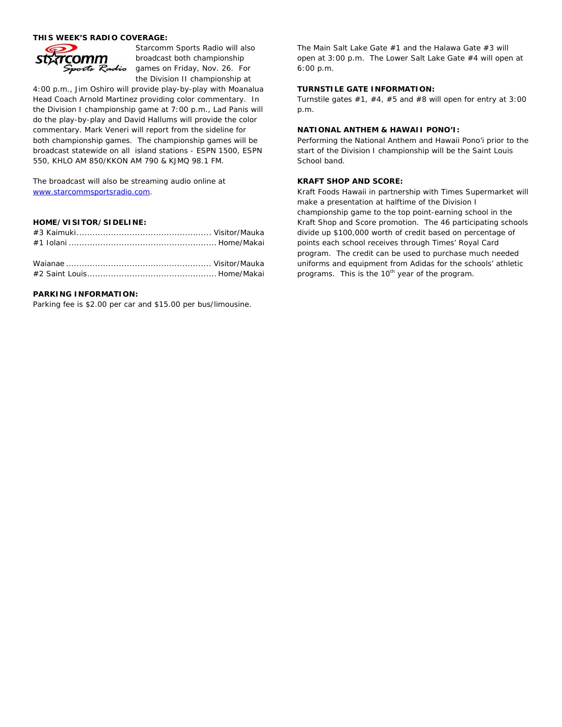#### **THIS WEEK'S RADIO COVERAGE:**



Starcomm Sports Radio will also broadcast both championship games on Friday, Nov. 26. For the Division II championship at

4:00 p.m., Jim Oshiro will provide play-by-play with Moanalua Head Coach Arnold Martinez providing color commentary. In the Division I championship game at 7:00 p.m., Lad Panis will do the play-by-play and David Hallums will provide the color commentary. Mark Veneri will report from the sideline for both championship games. The championship games will be broadcast statewide on all island stations - ESPN 1500, ESPN 550, KHLO AM 850/KKON AM 790 & KJMQ 98.1 FM.

The broadcast will also be streaming audio online at www.starcommsportsradio.com.

## **HOME/VISITOR/SIDELINE:**

## **PARKING INFORMATION:**

Parking fee is \$2.00 per car and \$15.00 per bus/limousine.

The Main Salt Lake Gate #1 and the Halawa Gate #3 will open at 3:00 p.m. The Lower Salt Lake Gate #4 will open at 6:00 p.m.

#### **TURNSTILE GATE INFORMATION:**

Turnstile gates  $#1, #4, #5$  and  $#8$  will open for entry at 3:00 p.m.

#### **NATIONAL ANTHEM & HAWAII PONO'I:**

Performing the National Anthem and Hawaii Pono'i prior to the start of the Division I championship will be the Saint Louis School band.

#### **KRAFT SHOP AND SCORE:**

Kraft Foods Hawaii in partnership with Times Supermarket will make a presentation at halftime of the Division I championship game to the top point-earning school in the Kraft Shop and Score promotion. The 46 participating schools divide up \$100,000 worth of credit based on percentage of points each school receives through Times' Royal Card program. The credit can be used to purchase much needed uniforms and equipment from Adidas for the schools' athletic programs. This is the 10<sup>th</sup> year of the program.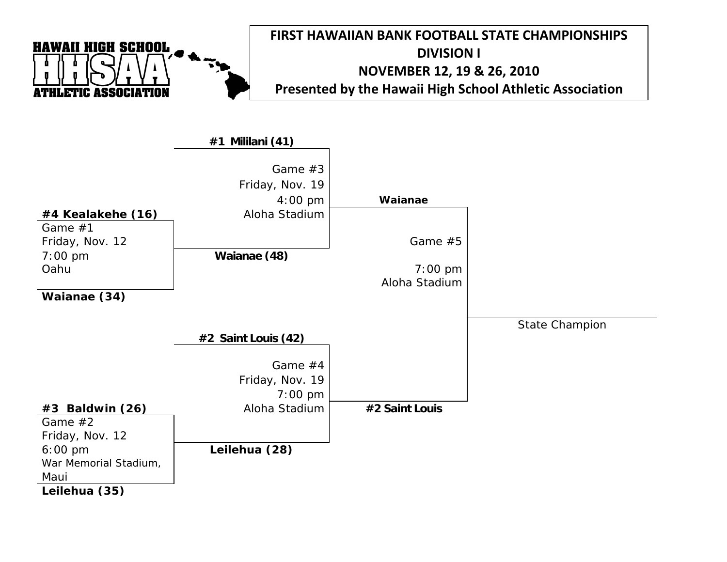

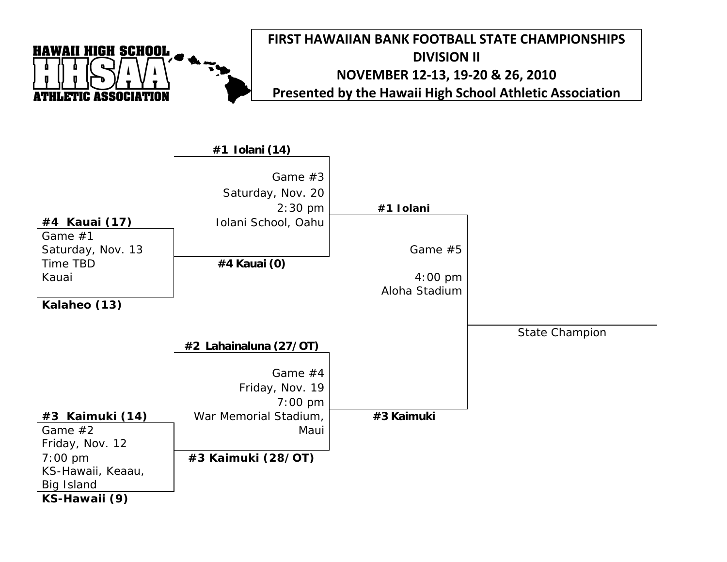

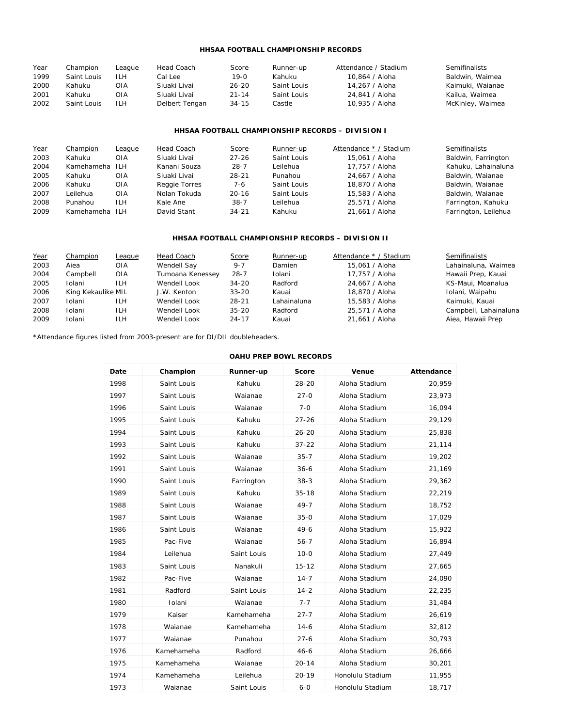## **HHSAA FOOTBALL CHAMPIONSHIP RECORDS**

| Year | Champion    | League | Head Coach     | <b>Score</b> | Runner-up   | Attendance / Stadium | <b>Semifinalists</b> |
|------|-------------|--------|----------------|--------------|-------------|----------------------|----------------------|
| 1999 | Saint Louis | ILH    | Cal Leel       | 19-0         | Kahuku      | 10.864 / Aloha       | Baldwin, Waimea      |
| 2000 | Kahuku      | OIA    | Siuaki Livai   | $26 - 20$    | Saint Louis | 14.267 / Aloha       | Kaimuki, Waianae     |
| 2001 | Kahuku      | OIA    | Siuaki Livai   | $21 - 14$    | Saint Louis | 24.841 / Aloha       | Kailua, Waimea       |
| 2002 | Saint Louis | ILH    | Delbert Tengan | $34 - 15$    | Castle      | 10.935 / Aloha       | McKinley, Waimea     |

## **HHSAA FOOTBALL CHAMPIONSHIP RECORDS – DIVISION I**

| Year | Champion       | League     | Head Coach    | <b>Score</b> | Runner-up   | Attendance * / Stadium | Semifinalists        |
|------|----------------|------------|---------------|--------------|-------------|------------------------|----------------------|
| 2003 | Kahuku         | OIA        | Siuaki Livai  | $27 - 26$    | Saint Louis | 15.061 / Aloha         | Baldwin, Farrington  |
| 2004 | Kamehameha     | ILH        | Kanani Souza  | $28 - 7$     | Leilehua    | 17.757 / Aloha         | Kahuku, Lahainaluna  |
| 2005 | Kahuku         | OIA        | Siuaki Livai  | $28 - 21$    | Punahou     | 24.667 / Aloha         | Baldwin, Waianae     |
| 2006 | Kahuku         | OIA        | Reggie Torres | 7-6          | Saint Louis | 18,870 / Aloha         | Baldwin, Waianae     |
| 2007 | Leilehua       | OIA        | Nolan Tokuda  | $20 - 16$    | Saint Louis | 15.583 / Aloha         | Baldwin, Waianae     |
| 2008 | Punahou        | <b>ILH</b> | Kale Ane      | $38 - 7$     | Leilehua    | 25.571 / Aloha         | Farrington, Kahuku   |
| 2009 | Kamehameha ILH |            | David Stant   | $34 - 21$    | Kahuku      | 21.661 / Aloha         | Farrington, Leilehua |

## **HHSAA FOOTBALL CHAMPIONSHIP RECORDS – DIVISION II**

| Year | Champion           | League     | Head Coach       | <b>Score</b> | Runner-up   | Attendance * / Stadium | Semifinalists         |
|------|--------------------|------------|------------------|--------------|-------------|------------------------|-----------------------|
| 2003 | Aiea               | <b>OIA</b> | Wendell Say      | $9 - 7$      | Damien      | 15.061 / Aloha         | Lahainaluna, Waimea   |
| 2004 | Campbell           | OIA        | Tumoana Kenessey | $28 - 7$     | Iolani      | 17.757 / Aloha         | Hawaii Prep, Kauai    |
| 2005 | Iolani             | <b>ILH</b> | Wendell Look     | $34 - 20$    | Radford     | 24.667 / Aloha         | KS-Maui, Moanalua     |
| 2006 | King Kekaulike MIL |            | J.W. Kenton      | $33 - 20$    | Kauai       | 18,870 / Aloha         | Iolani, Waipahu       |
| 2007 | Iolani             | ILH.       | Wendell Look     | $28 - 21$    | Lahainaluna | 15,583 / Aloha         | Kaimuki, Kauai        |
| 2008 | Iolani             | ILH.       | Wendell Look     | $35 - 20$    | Radford     | 25.571 / Aloha         | Campbell, Lahainaluna |
| 2009 | Iolani             | ILH        | Wendell Look     | $24 - 17$    | Kauai       | 21.661 / Aloha         | Aiea, Hawaii Prep     |

\*Attendance figures listed from 2003-present are for DI/DII doubleheaders.

#### **OAHU PREP BOWL RECORDS**

| Date | Champion    | Runner-up   | Score     | Venue            | Attendance |
|------|-------------|-------------|-----------|------------------|------------|
| 1998 | Saint Louis | Kahuku      | 28-20     | Aloha Stadium    | 20,959     |
| 1997 | Saint Louis | Waianae     | $27 - 0$  | Aloha Stadium    | 23,973     |
| 1996 | Saint Louis | Waianae     | $7 - 0$   | Aloha Stadium    | 16,094     |
| 1995 | Saint Louis | Kahuku      | $27 - 26$ | Aloha Stadium    | 29,129     |
| 1994 | Saint Louis | Kahuku      | $26 - 20$ | Aloha Stadium    | 25,838     |
| 1993 | Saint Louis | Kahuku      | $37 - 22$ | Aloha Stadium    | 21,114     |
| 1992 | Saint Louis | Waianae     | $35 - 7$  | Aloha Stadium    | 19,202     |
| 1991 | Saint Louis | Waianae     | $36 - 6$  | Aloha Stadium    | 21,169     |
| 1990 | Saint Louis | Farrington  | $38-3$    | Aloha Stadium    | 29,362     |
| 1989 | Saint Louis | Kahuku      | $35 - 18$ | Aloha Stadium    | 22,219     |
| 1988 | Saint Louis | Waianae     | $49 - 7$  | Aloha Stadium    | 18,752     |
| 1987 | Saint Louis | Waianae     | $35 - 0$  | Aloha Stadium    | 17,029     |
| 1986 | Saint Louis | Waianae     | $49-6$    | Aloha Stadium    | 15,922     |
| 1985 | Pac-Five    | Waianae     | $56 - 7$  | Aloha Stadium    | 16,894     |
| 1984 | Leilehua    | Saint Louis | $10 - 0$  | Aloha Stadium    | 27,449     |
| 1983 | Saint Louis | Nanakuli    | $15 - 12$ | Aloha Stadium    | 27,665     |
| 1982 | Pac-Five    | Waianae     | $14 - 7$  | Aloha Stadium    | 24,090     |
| 1981 | Radford     | Saint Louis | $14 - 2$  | Aloha Stadium    | 22,235     |
| 1980 | Iolani      | Waianae     | $7 - 7$   | Aloha Stadium    | 31,484     |
| 1979 | Kaiser      | Kamehameha  | $27 - 7$  | Aloha Stadium    | 26,619     |
| 1978 | Waianae     | Kamehameha  | $14-6$    | Aloha Stadium    | 32,812     |
| 1977 | Waianae     | Punahou     | $27 - 6$  | Aloha Stadium    | 30,793     |
| 1976 | Kamehameha  | Radford     | $46 - 6$  | Aloha Stadium    | 26,666     |
| 1975 | Kamehameha  | Waianae     | $20 - 14$ | Aloha Stadium    | 30,201     |
| 1974 | Kamehameha  | Leilehua    | $20 - 19$ | Honolulu Stadium | 11,955     |
| 1973 | Waianae     | Saint Louis | $6 - 0$   | Honolulu Stadium | 18,717     |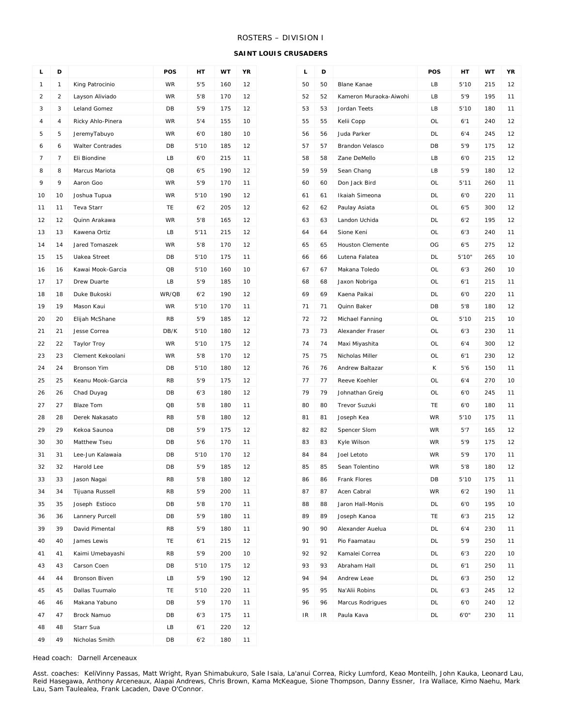## ROSTERS – DIVISION I

**SAINT LOUIS CRUSADERS** 

| г              | D              |                    | POS       | HТ   | WT  | YR |
|----------------|----------------|--------------------|-----------|------|-----|----|
| 1              | 1              | King Patrocinio    | <b>WR</b> | 5'5  | 160 | 12 |
| $\overline{c}$ | $\overline{2}$ | Layson Aliviado    | <b>WR</b> | 5'8  | 170 | 12 |
| 3              | 3              | Leland Gomez       | DB        | 5'9  | 175 | 12 |
| 4              | $\overline{4}$ | Ricky Ahlo-Pinera  | <b>WR</b> | 5'4  | 155 | 10 |
| 5              | 5              | JeremyTabuyo       | <b>WR</b> | 6'0  | 180 | 10 |
| 6              | 6              | Walter Contrades   | DB        | 5'10 | 185 | 12 |
| $\overline{7}$ | $\overline{7}$ | Eli Biondine       | LB        | 6'0  | 215 | 11 |
| 8              | 8              | Marcus Mariota     | QB        | 6'5  | 190 | 12 |
| 9              | 9              | Aaron Goo          | <b>WR</b> | 5'9  | 170 | 11 |
| 10             | 10             | Joshua Tupua       | <b>WR</b> | 5'10 | 190 | 12 |
| 11             | 11             | Teva Starr         | TE        | 6'2  | 205 | 12 |
| 12             | 12             | Quinn Arakawa      | WR        | 5'8  | 165 | 12 |
| 13             | 13             | Kawena Ortiz       | LB        | 5'11 | 215 | 12 |
| 14             | 14             | Jared Tomaszek     | <b>WR</b> | 5'8  | 170 | 12 |
| 15             | 15             | Uakea Street       | DB        | 5'10 | 175 | 11 |
| 16             | 16             | Kawai Mook-Garcia  | QB        | 5'10 | 160 | 10 |
| 17             | 17             | Drew Duarte        | LB        | 5'9  | 185 | 10 |
| 18             | 18             | Duke Bukoski       | WR/QB     | 6'2  | 190 | 12 |
| 19             | 19             | Mason Kaui         | <b>WR</b> | 5'10 | 170 | 11 |
| 20             | 20             | Elijah McShane     | RB        | 5'9  | 185 | 12 |
| 21             | 21             | Jesse Correa       | DB/K      | 5'10 | 180 | 12 |
| 22             | 22             | <b>Taylor Troy</b> | WR        | 5'10 | 175 | 12 |
| 23             | 23             | Clement Kekoolani  | <b>WR</b> | 5'8  | 170 | 12 |
| 24             | 24             | Bronson Yim        | DB        | 5'10 | 180 | 12 |
| 25             | 25             | Keanu Mook-Garcia  | <b>RB</b> | 5'9  | 175 | 12 |
| 26             | 26             | Chad Duyag         | DB        | 6'3  | 180 | 12 |
| 27             | 27             | <b>Blaze Tom</b>   | QB        | 5'8  | 180 | 11 |
| 28             | 28             | Derek Nakasato     | <b>RB</b> | 5'8  | 180 | 12 |
| 29             | 29             | Kekoa Saunoa       | DB        | 5'9  | 175 | 12 |
| 30             | 30             | Matthew Tseu       | DB        | 5'6  | 170 | 11 |
| 31             | 31             | Lee-Jun Kalawaia   | DB        | 5'10 | 170 | 12 |
| 32             | 32             | Harold Lee         | DB        | 5'9  | 185 | 12 |
| 33             | 33             | Jason Nagai        | RB        | 5'8  | 180 | 12 |
| 34             | 34             | Tijuana Russell    | RB        | 5'9  | 200 | 11 |
| 35             | 35             | Joseph Estioco     | DB        | 5'8  | 170 | 11 |
| 36             | 36             | Lannery Purcell    | DB        | 5'9  | 180 | 11 |
| 39             | 39             | David Pimental     | RB        | 5'9  | 180 | 11 |
| 40             | 40             | James Lewis        | TE.       | 6'1  | 215 | 12 |
| 41             | 41             | Kaimi Umebayashi   | <b>RB</b> | 5'9  | 200 | 10 |
| 43             | 43             | Carson Coen        | DB        | 5'10 | 175 | 12 |
| 44             | 44             | Bronson Biven      | LB        | 5'9  | 190 | 12 |
| 45             | 45             | Dallas Tuumalo     | TE.       | 5'10 | 220 | 11 |
| 46             | 46             | Makana Yabuno      | DB        | 5'9  | 170 | 11 |
| 47             | 47             | Brock Namuo        | DB        | 6'3  | 175 | 11 |
| 48             | 48             | Starr Sua          | LB        | 6'1  | 220 | 12 |
| 49             | 49             | Nicholas Smith     | DB        | 6'2  | 180 | 11 |

| L  | D  |                         | POS       | HТ    | WT  | ΥR |
|----|----|-------------------------|-----------|-------|-----|----|
| 50 | 50 | <b>Blane Kanae</b>      | LВ        | 5'10  | 215 | 12 |
| 52 | 52 | Kameron Muraoka-Aiwohi  | LВ        | 5'9   | 195 | 11 |
| 53 | 53 | Jordan Teets            | LВ        | 5'10  | 180 | 11 |
| 55 | 55 | Kelii Copp              | OL        | 6'1   | 240 | 12 |
| 56 | 56 | Juda Parker             | DL        | 6'4   | 245 | 12 |
| 57 | 57 | Brandon Velasco         | DB        | 5'9   | 175 | 12 |
| 58 | 58 | Zane DeMello            | LВ        | 6'0   | 215 | 12 |
| 59 | 59 | Sean Chang              | LВ        | 5'9   | 180 | 12 |
| 60 | 60 | Don Jack Bird           | OL        | 5'11  | 260 | 11 |
| 61 | 61 | Ikaiah Simeona          | DL        | 6'0   | 220 | 11 |
| 62 | 62 | Paulay Asiata           | OL        | 6'5   | 300 | 12 |
| 63 | 63 | Landon Uchida           | DL        | 6'2   | 195 | 12 |
| 64 | 64 | Sione Keni              | OL        | 6'3   | 240 | 11 |
| 65 | 65 | <b>Houston Clemente</b> | OG        | 6'5   | 275 | 12 |
| 66 | 66 | Lutena Falatea          | DL        | 5'10" | 265 | 10 |
| 67 | 67 | Makana Toledo           | OL        | 6'3   | 260 | 10 |
| 68 | 68 | Jaxon Nobriga           | OL        | 6'1   | 215 | 11 |
| 69 | 69 | Kaena Paikai            | DL        | 6'0   | 220 | 11 |
| 71 | 71 | Quinn Baker             | DB        | 5'8   | 180 | 12 |
| 72 | 72 | Michael Fanning         | <b>OL</b> | 5'10  | 215 | 10 |
| 73 | 73 | Alexander Fraser        | OL        | 6'3   | 230 | 11 |
| 74 | 74 | Maxi Miyashita          | OL        | 6'4   | 300 | 12 |
| 75 | 75 | Nicholas Miller         | OL        | 6'1   | 230 | 12 |
| 76 | 76 | Andrew Baltazar         | K         | 5'6   | 150 | 11 |
| 77 | 77 | Reeve Koehler           | OL        | 6'4   | 270 | 10 |
| 79 | 79 | Johnathan Greig         | OL        | 6'0   | 245 | 11 |
| 80 | 80 | Trevor Suzuki           | TE.       | 6'0   | 180 | 11 |
| 81 | 81 | Joseph Kea              | <b>WR</b> | 5'10  | 175 | 11 |
| 82 | 82 | Spencer Slom            | <b>WR</b> | 5'7   | 165 | 12 |
| 83 | 83 | Kyle Wilson             | <b>WR</b> | 5'9   | 175 | 12 |
| 84 | 84 | Joel Letoto             | WR        | 5'9   | 170 | 11 |
| 85 | 85 | Sean Tolentino          | <b>WR</b> | 5'8   | 180 | 12 |
| 86 | 86 | Frank Flores            | DB        | 5'10  | 175 | 11 |
| 87 | 87 | Acen Cabral             | <b>WR</b> | 6'2   | 190 | 11 |
| 88 | 88 | Jaron Hall-Monis        | DL        | 6'0   | 195 | 10 |
| 89 | 89 | Joseph Kanoa            | TE.       | 6'3   | 215 | 12 |
| 90 | 90 | Alexander Auelua        | DL        | 6'4   | 230 | 11 |
| 91 | 91 | Pio Faamatau            | DL        | 5'9   | 250 | 11 |
| 92 | 92 | Kamalei Correa          | DL        | 6'3   | 220 | 10 |
| 93 | 93 | Abraham Hall            | DL        | 6'1   | 250 | 11 |
| 94 | 94 | Andrew Leae             | DL        | 6'3   | 250 | 12 |
| 95 | 95 | Na'Alii Robins          | DL        | 6'3   | 245 | 12 |
| 96 | 96 | Marcus Rodrigues        | <b>DL</b> | 6'0   | 240 | 12 |
| IR | IR | Paula Kava              | DL        | 6'0"  | 230 | 11 |

#### Head coach: Darnell Arceneaux

Asst. coaches: KeliVinny Passas, Matt Wright, Ryan Shimabukuro, Sale Isaia, La'anui Correa, Ricky Lumford, Keao Monteilh, John Kauka, Leonard Lau, Reid Hasegawa, Anthony Arceneaux, Alapai Andrews, Chris Brown, Kama McKeague, Sione Thompson, Danny Essner, Ira Wallace, Kimo Naehu, Mark Lau, Sam Taulealea, Frank Lacaden, Dave O'Connor.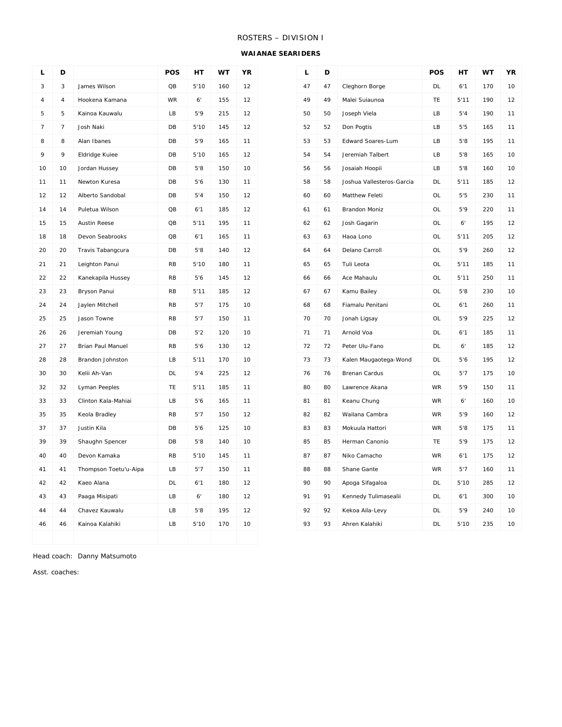# ROSTERS – DIVISION I

#### **WAIANAE SEARIDERS**

| Г              | D              |                          | POS       | НT          | WT  | ΥR |
|----------------|----------------|--------------------------|-----------|-------------|-----|----|
| 3              | 3              | James Wilson             | QB        | 5'10        | 160 | 12 |
| 4              | 4              | Hookena Kamana           | <b>WR</b> | $6^{\circ}$ | 155 | 12 |
| 5              | 5              | Kainoa Kauwalu           | LB        | 5'9         | 215 | 12 |
| $\overline{7}$ | $\overline{7}$ | Josh Naki                | DB        | 5'10        | 145 | 12 |
| 8              | 8              | Alan Ibanes              | DB        | 5'9         | 165 | 11 |
| 9              | 9              | Eldridge Kuiee           | DB        | 5'10        | 165 | 12 |
| 10             | 10             | Jordan Hussey            | DB        | 5'8         | 150 | 10 |
| 11             | 11             | Newton Kuresa            | DB        | 5'6         | 130 | 11 |
| 12             | 12             | Alberto Sandobal         | DB        | 5'4         | 150 | 12 |
| 14             | 14             | Puletua Wilson           | QB        | 6'1         | 185 | 12 |
| 15             | 15             | <b>Austin Reese</b>      | QB        | 5'11        | 195 | 11 |
| 18             | 18             | Devon Seabrooks          | QB        | 6'1         | 165 | 11 |
| 20             | 20             | Travis Tabangcura        | DB        | 5'8         | 140 | 12 |
| 21             | 21             | Leighton Panui           | <b>RB</b> | 5'10        | 180 | 11 |
| 22             | 22             | Kanekapila Hussey        | <b>RB</b> | 5'6         | 145 | 12 |
| 23             | 23             | Bryson Panui             | RB        | 5'11        | 185 | 12 |
| 24             | 24             | Jaylen Mitchell          | <b>RB</b> | 5'7         | 175 | 10 |
| 25             | 25             | Jason Towne              | <b>RB</b> | 5'7         | 150 | 11 |
| 26             | 26             | Jeremiah Young           | DB        | 5'2         | 120 | 10 |
| 27             | 27             | <b>Brian Paul Manuel</b> | <b>RB</b> | 5'6         | 130 | 12 |
| 28             | 28             | Brandon Johnston         | LB        | 5'11        | 170 | 10 |
| 30             | 30             | Kelii Ah-Van             | <b>DL</b> | 5'4         | 225 | 12 |
| 32             | 32             | Lyman Peeples            | TE        | 5'11        | 185 | 11 |
| 33             | 33             | Clinton Kala-Mahiai      | LВ        | 5'6         | 165 | 11 |
| 35             | 35             | Keola Bradley            | <b>RB</b> | 5'7         | 150 | 12 |
| 37             | 37             | Justin Kila              | DB        | 5'6         | 125 | 10 |
| 39             | 39             | Shaughn Spencer          | DB        | 5'8         | 140 | 10 |
| 40             | 40             | Devon Kamaka             | <b>RB</b> | 5'10        | 145 | 11 |
| 41             | 41             | Thompson Toetu'u-Aipa    | LВ        | 5'7         | 150 | 11 |
| 42             | 42             | Kaeo Alana               | DL        | 6'1         | 180 | 12 |
| 43             | 43             | Paaga Misipati           | LB        | 6'          | 180 | 12 |
| 44             | 44             | Chavez Kauwalu           | LB        | 5'8         | 195 | 12 |
| 46             | 46             | Kainoa Kalahiki          | LB        | 5'10        | 170 | 10 |
|                |                |                          |           |             |     |    |

| L  | D  |                           | POS       | HT   | <b>WT</b> | YR |
|----|----|---------------------------|-----------|------|-----------|----|
| 47 | 47 | Cleghorn Borge            | <b>DL</b> | 6'1  | 170       | 10 |
| 49 | 49 | Malei Suiaunoa            | <b>TE</b> | 5'11 | 190       | 12 |
| 50 | 50 | Joseph Viela              | LB        | 5'4  | 190       | 11 |
| 52 | 52 | Don Pogtis                | LВ        | 5'5  | 165       | 11 |
| 53 | 53 | Edward Soares-Lum         | LB        | 5'8  | 195       | 11 |
| 54 | 54 | Jeremiah Talbert          | LB        | 5'8  | 165       | 10 |
| 56 | 56 | Josaiah Hoopii            | LB        | 5'8  | 160       | 10 |
| 58 | 58 | Joshua Vallesteros-Garcia | DL        | 5'11 | 185       | 12 |
| 60 | 60 | Matthew Feleti            | OL        | 5'5  | 230       | 11 |
| 61 | 61 | <b>Brandon Moniz</b>      | OL        | 5'9  | 220       | 11 |
| 62 | 62 | Josh Gagarin              | <b>OL</b> | 6'   | 195       | 12 |
| 63 | 63 | Haoa Lono                 | OL        | 5'11 | 205       | 12 |
| 64 | 64 | Delano Carroll            | OL        | 5'9  | 260       | 12 |
| 65 | 65 | Tuli Leota                | OL        | 5'11 | 185       | 11 |
| 66 | 66 | Ace Mahaulu               | OL        | 5'11 | 250       | 11 |
| 67 | 67 | Kamu Bailey               | <b>OL</b> | 5'8  | 230       | 10 |
| 68 | 68 | Fiamalu Penitani          | <b>OL</b> | 6'1  | 260       | 11 |
| 70 | 70 | Jonah Ligsay              | OL        | 5'9  | 225       | 12 |
| 71 | 71 | Arnold Voa                | DL        | 6'1  | 185       | 11 |
| 72 | 72 | Peter Ulu-Fano            | DL        | 6'   | 185       | 12 |
| 73 | 73 | Kalen Maugaotega-Wond     | <b>DL</b> | 5'6  | 195       | 12 |
| 76 | 76 | Brenan Cardus             | OL        | 5'7  | 175       | 10 |
| 80 | 80 | Lawrence Akana            | <b>WR</b> | 5'9  | 150       | 11 |
| 81 | 81 | Keanu Chung               | <b>WR</b> | 6'   | 160       | 10 |
| 82 | 82 | Wailana Cambra            | <b>WR</b> | 5'9  | 160       | 12 |
| 83 | 83 | Mokuula Hattori           | WR        | 5'8  | 175       | 11 |
| 85 | 85 | Herman Canonio            | <b>TE</b> | 5'9  | 175       | 12 |
| 87 | 87 | Niko Camacho              | <b>WR</b> | 6'1  | 175       | 12 |
| 88 | 88 | Shane Gante               | <b>WR</b> | 5'7  | 160       | 11 |
| 90 | 90 | Apoga Sifagaloa           | DL        | 5'10 | 285       | 12 |
| 91 | 91 | Kennedy Tulimasealii      | <b>DL</b> | 6'1  | 300       | 10 |
| 92 | 92 | Kekoa Aila-Levy           | <b>DL</b> | 5'9  | 240       | 10 |
| 93 | 93 | Ahren Kalahiki            | DL        | 5'10 | 235       | 10 |

Head coach: Danny Matsumoto

Asst. coaches: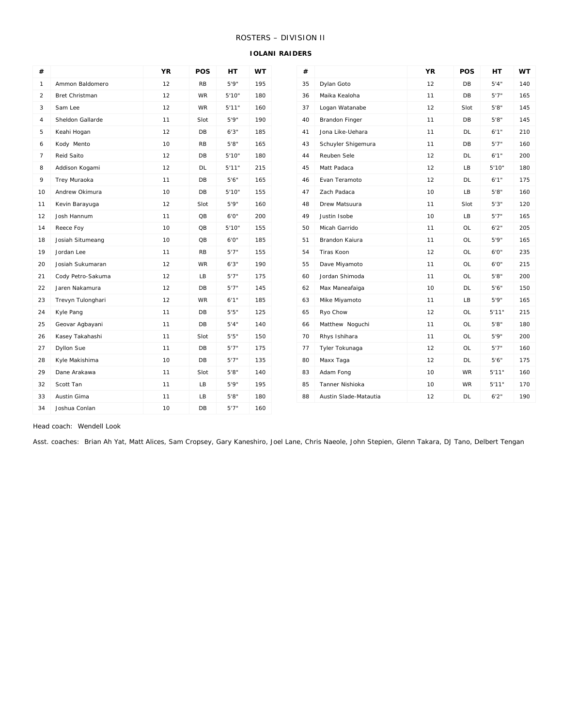# ROSTERS – DIVISION II

#### **IOLANI RAIDERS**

| #  |                   | YR | POS             | <b>HT</b> | <b>WT</b> | #  |                       | <b>YR</b> | POS       | <b>HT</b> | <b>WT</b> |
|----|-------------------|----|-----------------|-----------|-----------|----|-----------------------|-----------|-----------|-----------|-----------|
| 1  | Ammon Baldomero   | 12 | <b>RB</b>       | 5'9''     | 195       | 35 | Dylan Goto            | 12        | DB        | 5'4''     | 140       |
| 2  | Bret Christman    | 12 | WR              | 5'10"     | 180       | 36 | Maika Kealoha         | 11        | DB        | 5'7''     | 165       |
| 3  | Sam Lee           | 12 | <b>WR</b>       | 5'11"     | 160       | 37 | Logan Watanabe        | 12        | Slot      | 5'8''     | 145       |
| 4  | Sheldon Gallarde  | 11 | Slot            | 5'9''     | 190       | 40 | <b>Brandon Finger</b> | 11        | DB        | 5'8''     | 145       |
| 5  | Keahi Hogan       | 12 | DB              | 6'3''     | 185       | 41 | Jona Like-Uehara      | 11        | DL        | 6'1''     | 210       |
| 6  | Kody Mento        | 10 | <b>RB</b>       | 5'8''     | 165       | 43 | Schuyler Shigemura    | 11        | DB        | 5'7''     | 160       |
| 7  | Reid Saito        | 12 | DB              | 5'10"     | 180       | 44 | Reuben Sele           | 12        | DL        | 6'1''     | 200       |
| 8  | Addison Kogami    | 12 | DL              | 5'11"     | 215       | 45 | Matt Padaca           | 12        | LB        | 5'10"     | 180       |
| 9  | Trey Muraoka      | 11 | DB              | 5'6''     | 165       | 46 | Evan Teramoto         | 12        | DL        | 6'1''     |           |
| 10 | Andrew Okimura    | 10 | DB              | 5'10"     | 155       | 47 | Zach Padaca           | 10        | LB        | 5'8''     |           |
| 11 | Kevin Barayuga    | 12 | Slot            | 5'9"      | 160       | 48 | Drew Matsuura         | 11        | Slot      | 5'3''     |           |
| 12 | Josh Hannum       | 11 | QB              | 6'0"      | 200       | 49 | Justin Isobe          | 10        | LB        | 5'7''     |           |
| 14 | Reece Foy         | 10 | $\overline{OB}$ | 5'10"     | 155       | 50 | Micah Garrido         | 11        | OL        | 6'2''     |           |
| 18 | Josiah Situmeang  | 10 | QB              | 6'0"      | 185       | 51 | Brandon Kaiura        | 11        | OL        | 5'9''     |           |
| 19 | Jordan Lee        | 11 | <b>RB</b>       | 5'7''     | 155       | 54 | Tiras Koon            | 12        | <b>OL</b> | 6'0"      |           |
| 20 | Josiah Sukumaran  | 12 | WR              | 6'3''     | 190       | 55 | Dave Miyamoto         | 11        | OL        | 6'0"      |           |
| 21 | Cody Petro-Sakuma | 12 | LB              | 5'7''     | 175       | 60 | Jordan Shimoda        | 11        | OL        | 5'8''     |           |
| 22 | Jaren Nakamura    | 12 | <b>DB</b>       | 5'7''     | 145       | 62 | Max Maneafaiga        | 10        | DL        | 5'6''     |           |
| 23 | Trevyn Tulonghari | 12 | WR              | 6'1''     | 185       | 63 | Mike Miyamoto         | 11        | LB        | 5'9''     |           |
| 24 | Kyle Pang         | 11 | DB              | 5'5''     | 125       | 65 | Ryo Chow              | 12        | OL        | 5'11"     |           |
| 25 | Geovar Agbayani   | 11 | DB              | 5'4''     | 140       | 66 | Matthew Noguchi       | 11        | OL.       | 5'8''     |           |
| 26 | Kasey Takahashi   | 11 | Slot            | 5'5''     | 150       | 70 | Rhys Ishihara         | 11        | OL        | 5'9''     |           |
| 27 | Dyllon Sue        | 11 | DB              | 5'7''     | 175       | 77 | Tyler Tokunaga        | 12        | OL        | 5'7''     |           |
| 28 | Kyle Makishima    | 10 | DB              | 5'7''     | 135       | 80 | Maxx Taga             | 12        | DL        | 5'6''     |           |
| 29 | Dane Arakawa      | 11 | Slot            | 5'8''     | 140       | 83 | Adam Fong             | 10        | WR        | 5'11"     |           |
| 32 | Scott Tan         | 11 | LB              | 5'9''     | 195       | 85 | Tanner Nishioka       | 10        | <b>WR</b> | 5'11"     |           |
| 33 | Austin Gima       | 11 | LB              | 5'8''     | 180       | 88 | Austin Slade-Matautia | 12        | DL        | 6'2''     |           |
| 34 | Joshua Conlan     | 10 | DB              | 5'7''     | 160       |    |                       |           |           |           |           |

Head coach: Wendell Look

Asst. coaches: Brian Ah Yat, Matt Alices, Sam Cropsey, Gary Kaneshiro, Joel Lane, Chris Naeole, John Stepien, Glenn Takara, DJ Tano, Delbert Tengan